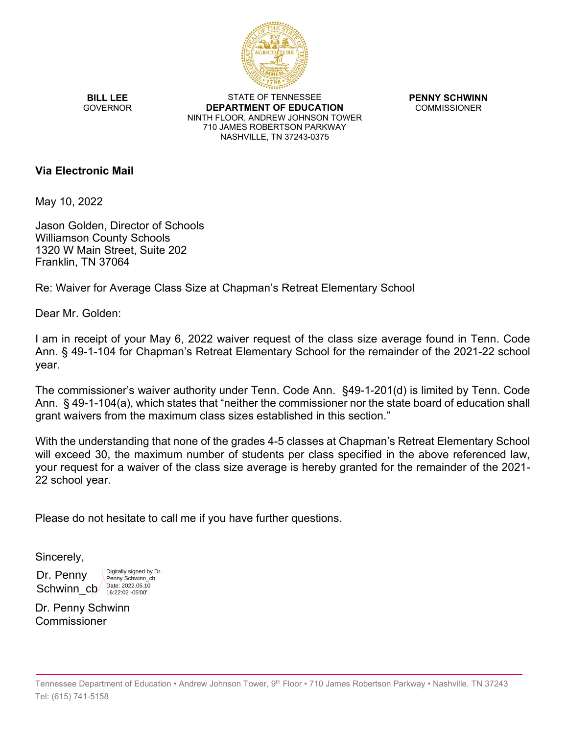

**BILL LEE GOVERNOR** 

STATE OF TENNESSEE **DEPARTMENT OF EDUCATION** NINTH FLOOR, ANDREW JOHNSON TOWER 710 JAMES ROBERTSON PARKWAY NASHVILLE, TN 37243-0375

**PENNY SCHWINN** COMMISSIONER

### **Via Electronic Mail**

May 10, 2022

Jason Golden, Director of Schools Williamson County Schools 1320 W Main Street, Suite 202 Franklin, TN 37064

Re: Waiver for Average Class Size at Chapman's Retreat Elementary School

Dear Mr. Golden:

I am in receipt of your May 6, 2022 waiver request of the class size average found in Tenn. Code Ann. § 49-1-104 for Chapman's Retreat Elementary School for the remainder of the 2021-22 school year.

The commissioner's waiver authority under Tenn. Code Ann. §49-1-201(d) is limited by Tenn. Code Ann. § 49-1-104(a), which states that "neither the commissioner nor the state board of education shall grant waivers from the maximum class sizes established in this section."

With the understanding that none of the grades 4-5 classes at Chapman's Retreat Elementary School will exceed 30, the maximum number of students per class specified in the above referenced law, your request for a waiver of the class size average is hereby granted for the remainder of the 2021- 22 school year.

Please do not hesitate to call me if you have further questions.

Sincerely,

Dr. Penny Schwinn\_cb Digitally signed by Dr. Penny Schwinn\_cb Date: 2022.05.10 16:22:02 -05'00'

Dr. Penny Schwinn Commissioner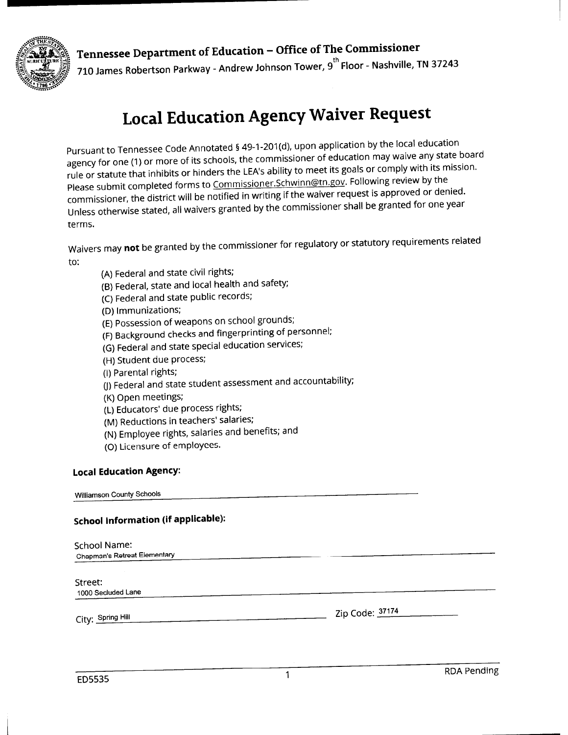

## Tennessee Department of Education - Office of The Commissioner 710 James Robertson Parkway - Andrew Johnson Tower, 9<sup>th</sup> Floor - Nashville, TN 37243

# **Local Education Agency Waiver Request**

Pursuant to Tennessee Code Annotated § 49-1-201(d), upon application by the local education agency for one (1) or more of its schools, the commissioner of education may waive any state board rule or statute that inhibits or hinders the LEA's ability to meet its goals or comply with its mission. Please submit completed forms to Commissioner.Schwinn@tn.gov. Following review by the commissioner, the district will be notified in writing if the waiver request is approved or denied. Unless otherwise stated, all waivers granted by the commissioner shall be granted for one year terms.

Waivers may not be granted by the commissioner for regulatory or statutory requirements related to:

- (A) Federal and state civil rights;
- (B) Federal, state and local health and safety;
- (C) Federal and state public records;
- (D) Immunizations;
- (E) Possession of weapons on school grounds;
- (F) Background checks and fingerprinting of personnel;
- (G) Federal and state special education services;
- (H) Student due process;
- (I) Parental rights;
- (J) Federal and state student assessment and accountability;
- (K) Open meetings;
- (L) Educators' due process rights;
- (M) Reductions in teachers' salaries;
- (N) Employee rights, salaries and benefits; and
- (O) Licensure of employees.

#### **Local Education Agency:**

Williamson County Schools

### **School Information (if applicable):**

| School Name:<br><b>Chapman's Retreat Elementary</b> |                 |
|-----------------------------------------------------|-----------------|
| Street:<br>1000 Secluded Lane                       |                 |
| City: Spring Hill                                   | Zip Code: 37174 |